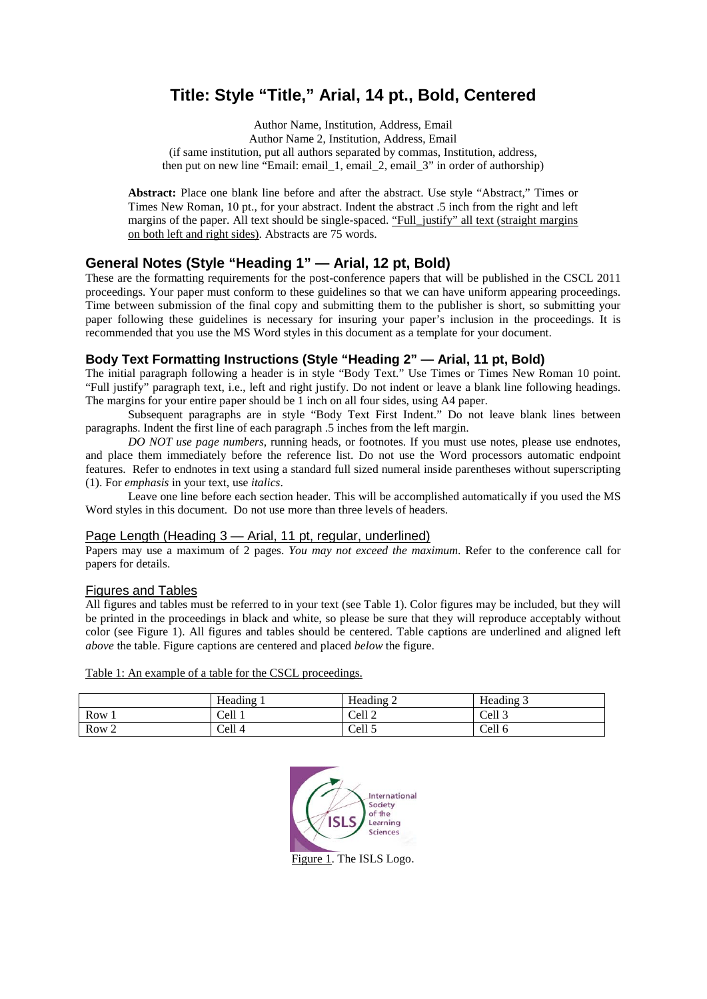# **Title: Style "Title," Arial, 14 pt., Bold, Centered**

Author Name, Institution, Address, Email Author Name 2, Institution, Address, Email (if same institution, put all authors separated by commas, Institution, address, then put on new line "Email: email 1, email 2, email 3" in order of authorship)

**Abstract:** Place one blank line before and after the abstract. Use style "Abstract," Times or Times New Roman, 10 pt., for your abstract. Indent the abstract .5 inch from the right and left margins of the paper. All text should be single-spaced. "Full\_justify" all text (straight margins on both left and right sides) . Abstracts are 75 words.

# **General Notes (Style "Heading 1" — Arial, 12 pt, Bold)**

These are the formatting requirements for the post-conference papers that will be published in the CSCL 2011 proceedings. Your paper must conform to these guidelines so that we can have uniform appearing proceedings. Time between submission of the final copy and submitting them to the publisher is short, so submitting your paper following these guidelines is necessary for insuring your paper's inclusion in the proceedings. It is recommended that you use the MS Word styles in this document as a template for your document.

# **Body Text Formatting Instructions (Style "Heading 2" — Arial, 11 pt, Bold)**

The initial paragraph following a header is in style "Body Text." Use Times or Times New Roman 10 point. "Full justify" paragraph text, i.e., left and right justify. Do not indent or leave a blank line following headings. The margins for your entire paper should be 1 inch on all four sides, using A4 paper.

Subsequent paragraphs are in style "Body Text First Indent." Do not leave blank lines between paragraphs. Indent the first line of each paragraph .5 inches from the left margin.

*DO NOT use page numbers*, running heads, or footnotes. If you must use notes, please use endnotes, and place them immediately before the reference list. Do not use the Word processors automatic endpoint features. Refer to endnotes in text using a standard full sized numeral inside parentheses without superscripting (1). For *emphasis* in your text, use *italics*.

Leave one line before each section header. This will be accomplished automatically if you used the MS Word styles in this document. Do not use more than three levels of headers.

## Page Length (Heading 3 — Arial, 11 pt, regular, underlined)

Papers may use a maximum of 2 pages. *You may not exceed the maximum*. Refer to the conference call for papers for details.

### Figures and Tables

All figures and tables must be referred to in your text (see Table 1). Color figures may be included, but they will be printed in the proceedings in black and white, so please be sure that they will reproduce acceptably without color (see Figure 1). All figures and tables should be centered. Table captions are underlined and aligned left *above* the table. Figure captions are centered and placed *below* the figure.

Table 1: An example of a table for the CSCL proceedings.

|                  | Heading | Heading 2         | Heading 3 |
|------------------|---------|-------------------|-----------|
| Row              | Cell 1  | Cell <sub>2</sub> | Cell 3    |
| Row <sub>2</sub> | Cell 4  | Cell 5            | Cell 6    |